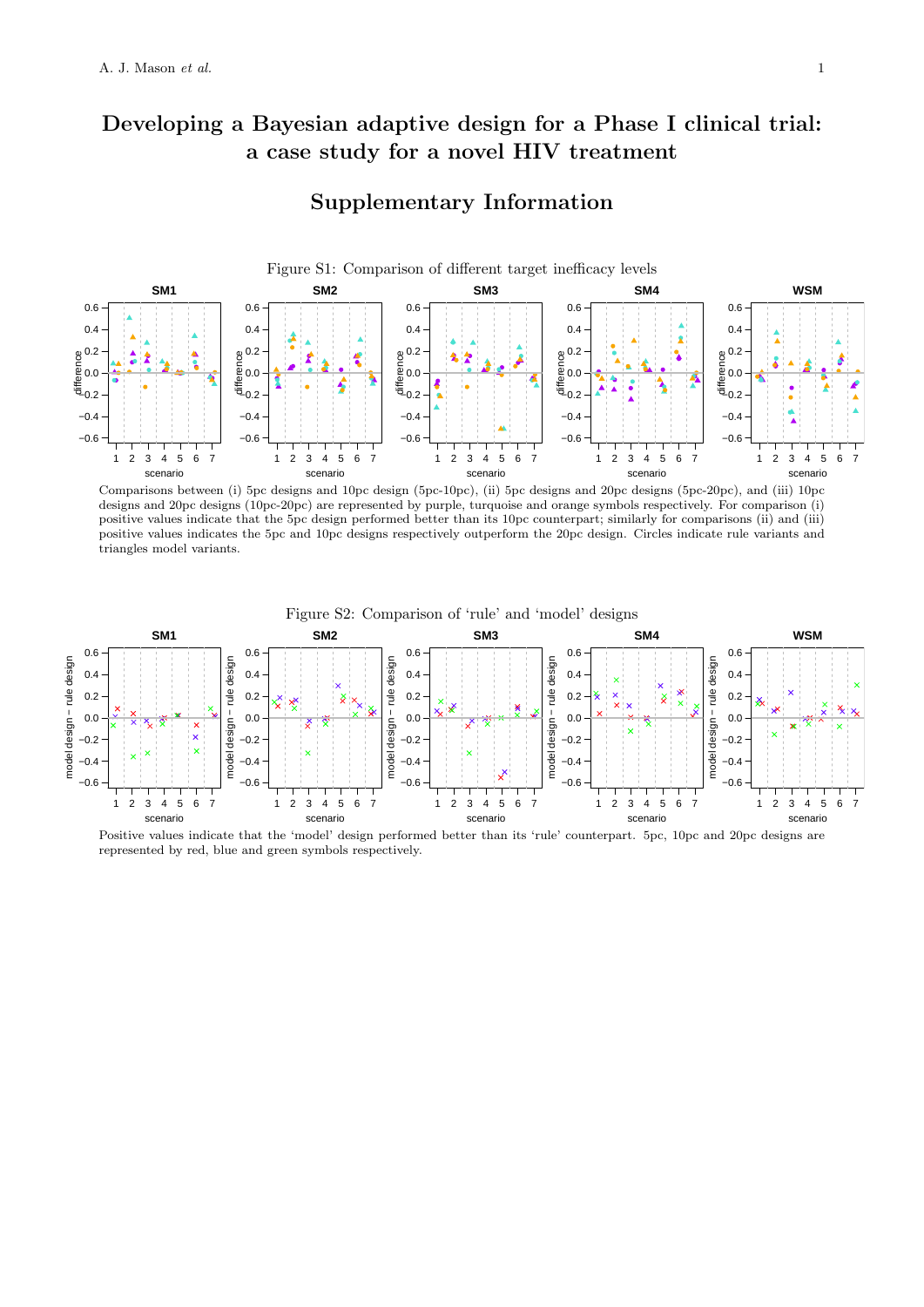## **Developing a Bayesian adaptive design for a Phase I clinical trial: a case study for a novel HIV treatment**

## **Supplementary Information**



Comparisons between (i) 5pc designs and 10pc design (5pc-10pc), (ii) 5pc designs and 20pc designs (5pc-20pc), and (iii) 10pc designs and 20pc designs (10pc-20pc) are represented by purple, turquoise and orange symbols respectively. For comparison (i) positive values indicate that the 5pc design performed better than its 10pc counterpart; similarly for comparisons (ii) and (iii) positive values indicates the 5pc and 10pc designs respectively outperform the 20pc design. Circles indicate rule variants and triangles model variants.



Positive values indicate that the 'model' design performed better than its 'rule' counterpart. 5pc, 10pc and 20pc designs are represented by red, blue and green symbols respectively.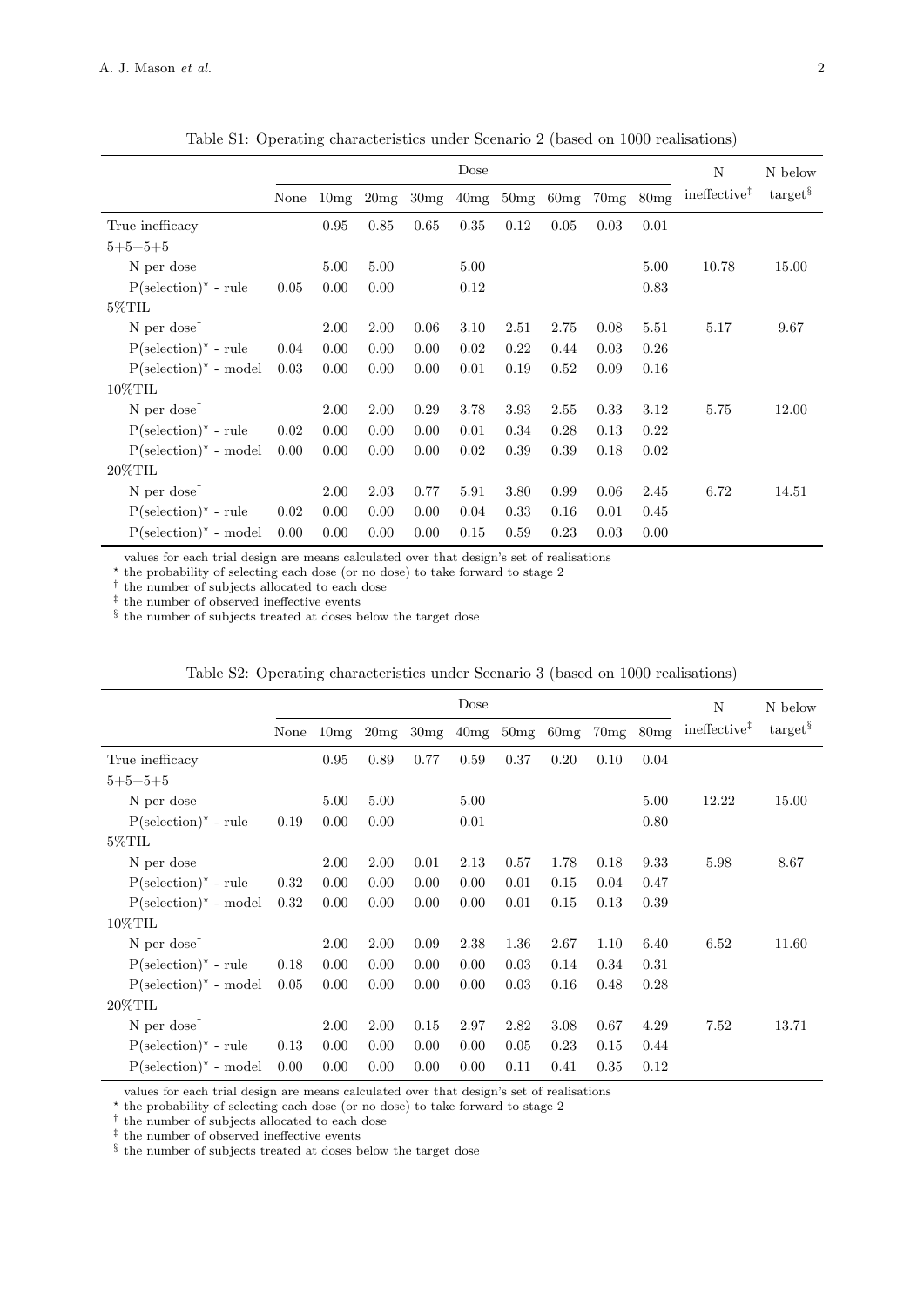|                                            |      |      |      |      | Dose |      |      |      |      | N                        | N below              |
|--------------------------------------------|------|------|------|------|------|------|------|------|------|--------------------------|----------------------|
|                                            | None | 10mg | 20mg | 30mg | 40mg | 50mg | 60mg | 70mg | 80mg | ineffective <sup>‡</sup> | $\text{target}^{\S}$ |
| True inefficacy                            |      | 0.95 | 0.85 | 0.65 | 0.35 | 0.12 | 0.05 | 0.03 | 0.01 |                          |                      |
| $5 + 5 + 5 + 5$                            |      |      |      |      |      |      |      |      |      |                          |                      |
| N per dose <sup><math>\dagger</math></sup> |      | 5.00 | 5.00 |      | 5.00 |      |      |      | 5.00 | 10.78                    | 15.00                |
| $P$ (selection) <sup>*</sup> - rule        | 0.05 | 0.00 | 0.00 |      | 0.12 |      |      |      | 0.83 |                          |                      |
| $5\%$ TIL                                  |      |      |      |      |      |      |      |      |      |                          |                      |
| N per dose <sup>†</sup>                    |      | 2.00 | 2.00 | 0.06 | 3.10 | 2.51 | 2.75 | 0.08 | 5.51 | 5.17                     | 9.67                 |
| $P$ (selection) <sup>*</sup> - rule        | 0.04 | 0.00 | 0.00 | 0.00 | 0.02 | 0.22 | 0.44 | 0.03 | 0.26 |                          |                      |
| $P$ (selection) <sup>*</sup> - model       | 0.03 | 0.00 | 0.00 | 0.00 | 0.01 | 0.19 | 0.52 | 0.09 | 0.16 |                          |                      |
| $10\%$ TIL                                 |      |      |      |      |      |      |      |      |      |                          |                      |
| N per dose <sup><math>\dagger</math></sup> |      | 2.00 | 2.00 | 0.29 | 3.78 | 3.93 | 2.55 | 0.33 | 3.12 | 5.75                     | 12.00                |
| $P$ (selection) <sup>*</sup> - rule        | 0.02 | 0.00 | 0.00 | 0.00 | 0.01 | 0.34 | 0.28 | 0.13 | 0.22 |                          |                      |
| $P$ (selection) <sup>*</sup> - model       | 0.00 | 0.00 | 0.00 | 0.00 | 0.02 | 0.39 | 0.39 | 0.18 | 0.02 |                          |                      |
| $20\%$ TIL                                 |      |      |      |      |      |      |      |      |      |                          |                      |
| N per dose <sup><math>\dagger</math></sup> |      | 2.00 | 2.03 | 0.77 | 5.91 | 3.80 | 0.99 | 0.06 | 2.45 | 6.72                     | 14.51                |
| $P$ (selection) <sup>*</sup> - rule        | 0.02 | 0.00 | 0.00 | 0.00 | 0.04 | 0.33 | 0.16 | 0.01 | 0.45 |                          |                      |
| $P$ (selection) <sup>*</sup> - model       | 0.00 | 0.00 | 0.00 | 0.00 | 0.15 | 0.59 | 0.23 | 0.03 | 0.00 |                          |                      |

Table S1: Operating characteristics under Scenario 2 (based on 1000 realisations)

values for each trial design are means calculated over that design's set of realisations

<sup>*★* the probability of selecting each dose (or no dose) to take forward to stage 2</sup>

*†* the number of subjects allocated to each dose

*‡* the number of observed ineffective events

*§* the number of subjects treated at doses below the target dose

|                                            | Dose |      |      |      |      |      |      |      |      | N                        | N below              |
|--------------------------------------------|------|------|------|------|------|------|------|------|------|--------------------------|----------------------|
|                                            | None | 10mg | 20mg | 30mg | 40mg | 50mg | 60mg | 70mg | 80mg | ineffective <sup>‡</sup> | $\text{target}^{\S}$ |
| True inefficacy                            |      | 0.95 | 0.89 | 0.77 | 0.59 | 0.37 | 0.20 | 0.10 | 0.04 |                          |                      |
| $5 + 5 + 5 + 5$                            |      |      |      |      |      |      |      |      |      |                          |                      |
| N per dose <sup><math>\dagger</math></sup> |      | 5.00 | 5.00 |      | 5.00 |      |      |      | 5.00 | 12.22                    | 15.00                |
| $P$ (selection) <sup>*</sup> - rule        | 0.19 | 0.00 | 0.00 |      | 0.01 |      |      |      | 0.80 |                          |                      |
| $5\%$ TIL                                  |      |      |      |      |      |      |      |      |      |                          |                      |
| N per dose <sup><math>\dagger</math></sup> |      | 2.00 | 2.00 | 0.01 | 2.13 | 0.57 | 1.78 | 0.18 | 9.33 | 5.98                     | 8.67                 |
| $P$ (selection) <sup>*</sup> - rule        | 0.32 | 0.00 | 0.00 | 0.00 | 0.00 | 0.01 | 0.15 | 0.04 | 0.47 |                          |                      |
| $P$ (selection) <sup>*</sup> - model       | 0.32 | 0.00 | 0.00 | 0.00 | 0.00 | 0.01 | 0.15 | 0.13 | 0.39 |                          |                      |
| $10\%$ TIL                                 |      |      |      |      |      |      |      |      |      |                          |                      |
| N per dose <sup><math>\dagger</math></sup> |      | 2.00 | 2.00 | 0.09 | 2.38 | 1.36 | 2.67 | 1.10 | 6.40 | 6.52                     | 11.60                |
| $P$ (selection) <sup>*</sup> - rule        | 0.18 | 0.00 | 0.00 | 0.00 | 0.00 | 0.03 | 0.14 | 0.34 | 0.31 |                          |                      |
| $P$ (selection) <sup>*</sup> - model       | 0.05 | 0.00 | 0.00 | 0.00 | 0.00 | 0.03 | 0.16 | 0.48 | 0.28 |                          |                      |
| $20\%$ TIL                                 |      |      |      |      |      |      |      |      |      |                          |                      |
| N per dose <sup><math>\dagger</math></sup> |      | 2.00 | 2.00 | 0.15 | 2.97 | 2.82 | 3.08 | 0.67 | 4.29 | 7.52                     | 13.71                |
| $P$ (selection) <sup>*</sup> - rule        | 0.13 | 0.00 | 0.00 | 0.00 | 0.00 | 0.05 | 0.23 | 0.15 | 0.44 |                          |                      |
| $P$ (selection) <sup>*</sup> - model       | 0.00 | 0.00 | 0.00 | 0.00 | 0.00 | 0.11 | 0.41 | 0.35 | 0.12 |                          |                      |

values for each trial design are means calculated over that design's set of realisations

*<sup>⋆</sup>* the probability of selecting each dose (or no dose) to take forward to stage 2

*†* the number of subjects allocated to each dose

*‡* the number of observed ineffective events

*§* the number of subjects treated at doses below the target dose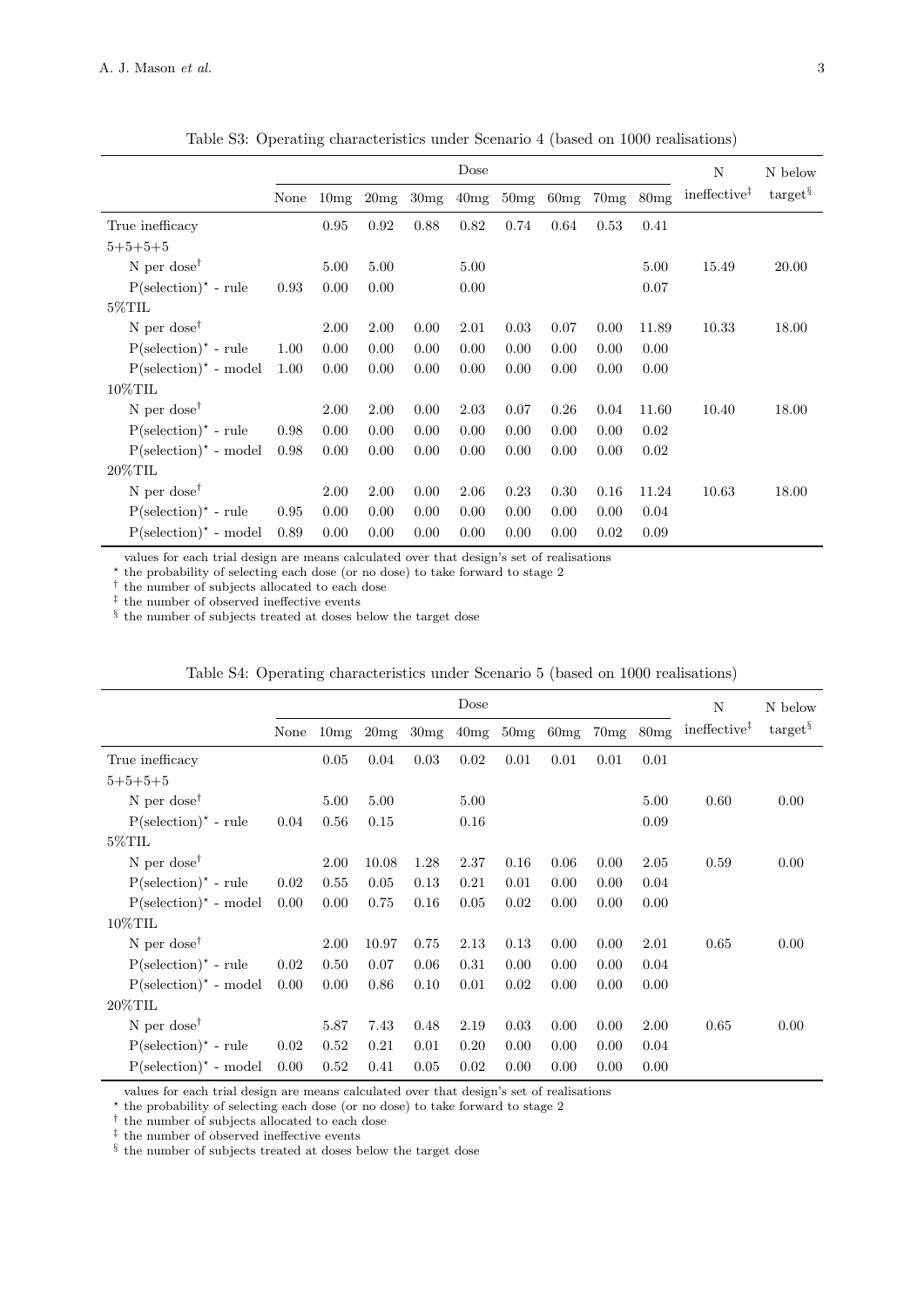|                                            |      |      |      |      | Dose |      |      |      |       | N                        | N below              |
|--------------------------------------------|------|------|------|------|------|------|------|------|-------|--------------------------|----------------------|
|                                            | None | 10mg | 20mg | 30mg | 40mg | 50mg | 60mg | 70mg | 80mg  | ineffective <sup>‡</sup> | $\text{target}^{\S}$ |
| True inefficacy                            |      | 0.95 | 0.92 | 0.88 | 0.82 | 0.74 | 0.64 | 0.53 | 0.41  |                          |                      |
| $5 + 5 + 5 + 5$                            |      |      |      |      |      |      |      |      |       |                          |                      |
| N per dose <sup><math>\dagger</math></sup> |      | 5.00 | 5.00 |      | 5.00 |      |      |      | 5.00  | 15.49                    | 20.00                |
| $P$ (selection) <sup>*</sup> - rule        | 0.93 | 0.00 | 0.00 |      | 0.00 |      |      |      | 0.07  |                          |                      |
| $5\%$ TIL                                  |      |      |      |      |      |      |      |      |       |                          |                      |
| N per dose <sup><math>\dagger</math></sup> |      | 2.00 | 2.00 | 0.00 | 2.01 | 0.03 | 0.07 | 0.00 | 11.89 | 10.33                    | 18.00                |
| $P$ (selection) <sup>*</sup> - rule        | 1.00 | 0.00 | 0.00 | 0.00 | 0.00 | 0.00 | 0.00 | 0.00 | 0.00  |                          |                      |
| $P$ (selection) <sup>*</sup> - model       | 1.00 | 0.00 | 0.00 | 0.00 | 0.00 | 0.00 | 0.00 | 0.00 | 0.00  |                          |                      |
| $10\%$ TIL                                 |      |      |      |      |      |      |      |      |       |                          |                      |
| N per dose <sup><math>\dagger</math></sup> |      | 2.00 | 2.00 | 0.00 | 2.03 | 0.07 | 0.26 | 0.04 | 11.60 | 10.40                    | 18.00                |
| $P$ (selection) <sup>*</sup> - rule        | 0.98 | 0.00 | 0.00 | 0.00 | 0.00 | 0.00 | 0.00 | 0.00 | 0.02  |                          |                      |
| $P$ (selection) <sup>*</sup> - model       | 0.98 | 0.00 | 0.00 | 0.00 | 0.00 | 0.00 | 0.00 | 0.00 | 0.02  |                          |                      |
| $20\%$ TIL                                 |      |      |      |      |      |      |      |      |       |                          |                      |
| N per dose <sup><math>\dagger</math></sup> |      | 2.00 | 2.00 | 0.00 | 2.06 | 0.23 | 0.30 | 0.16 | 11.24 | 10.63                    | 18.00                |
| $P$ (selection) <sup>*</sup> - rule        | 0.95 | 0.00 | 0.00 | 0.00 | 0.00 | 0.00 | 0.00 | 0.00 | 0.04  |                          |                      |
| $P$ (selection) <sup>*</sup> - model       | 0.89 | 0.00 | 0.00 | 0.00 | 0.00 | 0.00 | 0.00 | 0.02 | 0.09  |                          |                      |

Table S3: Operating characteristics under Scenario 4 (based on 1000 realisations)

values for each trial design are means calculated over that design's set of realisations

*<sup>⋆</sup>* the probability of selecting each dose (or no dose) to take forward to stage 2

*†* the number of subjects allocated to each dose

*‡* the number of observed ineffective events

*§* the number of subjects treated at doses below the target dose

|                                            | Dose |      |       |      |      |      |      |      |      | N                        | N below              |
|--------------------------------------------|------|------|-------|------|------|------|------|------|------|--------------------------|----------------------|
|                                            | None | 10mg | 20mg  | 30mg | 40mg | 50mg | 60mg | 70mg | 80mg | ineffective <sup>‡</sup> | $\text{target}^{\S}$ |
| True inefficacy                            |      | 0.05 | 0.04  | 0.03 | 0.02 | 0.01 | 0.01 | 0.01 | 0.01 |                          |                      |
| $5 + 5 + 5 + 5$                            |      |      |       |      |      |      |      |      |      |                          |                      |
| N per dose <sup><math>\dagger</math></sup> |      | 5.00 | 5.00  |      | 5.00 |      |      |      | 5.00 | 0.60                     | 0.00                 |
| $P$ (selection) <sup>*</sup> - rule        | 0.04 | 0.56 | 0.15  |      | 0.16 |      |      |      | 0.09 |                          |                      |
| $5\%$ TIL                                  |      |      |       |      |      |      |      |      |      |                          |                      |
| N per dose <sup><math>\dagger</math></sup> |      | 2.00 | 10.08 | 1.28 | 2.37 | 0.16 | 0.06 | 0.00 | 2.05 | 0.59                     | 0.00                 |
| $P$ (selection) <sup>*</sup> - rule        | 0.02 | 0.55 | 0.05  | 0.13 | 0.21 | 0.01 | 0.00 | 0.00 | 0.04 |                          |                      |
| $P$ (selection) <sup>*</sup> - model       | 0.00 | 0.00 | 0.75  | 0.16 | 0.05 | 0.02 | 0.00 | 0.00 | 0.00 |                          |                      |
| $10\%$ TIL                                 |      |      |       |      |      |      |      |      |      |                          |                      |
| N per dose <sup><math>\dagger</math></sup> |      | 2.00 | 10.97 | 0.75 | 2.13 | 0.13 | 0.00 | 0.00 | 2.01 | 0.65                     | 0.00                 |
| $P$ (selection) <sup>*</sup> - rule        | 0.02 | 0.50 | 0.07  | 0.06 | 0.31 | 0.00 | 0.00 | 0.00 | 0.04 |                          |                      |
| $P$ (selection) <sup>*</sup> - model       | 0.00 | 0.00 | 0.86  | 0.10 | 0.01 | 0.02 | 0.00 | 0.00 | 0.00 |                          |                      |
| $20\%$ TIL                                 |      |      |       |      |      |      |      |      |      |                          |                      |
| N per dose <sup><math>\dagger</math></sup> |      | 5.87 | 7.43  | 0.48 | 2.19 | 0.03 | 0.00 | 0.00 | 2.00 | 0.65                     | 0.00                 |
| $P$ (selection) <sup>*</sup> - rule        | 0.02 | 0.52 | 0.21  | 0.01 | 0.20 | 0.00 | 0.00 | 0.00 | 0.04 |                          |                      |
| $P$ (selection) <sup>*</sup> - model       | 0.00 | 0.52 | 0.41  | 0.05 | 0.02 | 0.00 | 0.00 | 0.00 | 0.00 |                          |                      |

values for each trial design are means calculated over that design's set of realisations

*<sup>⋆</sup>* the probability of selecting each dose (or no dose) to take forward to stage 2

*†* the number of subjects allocated to each dose

*‡* the number of observed ineffective events

*§* the number of subjects treated at doses below the target dose